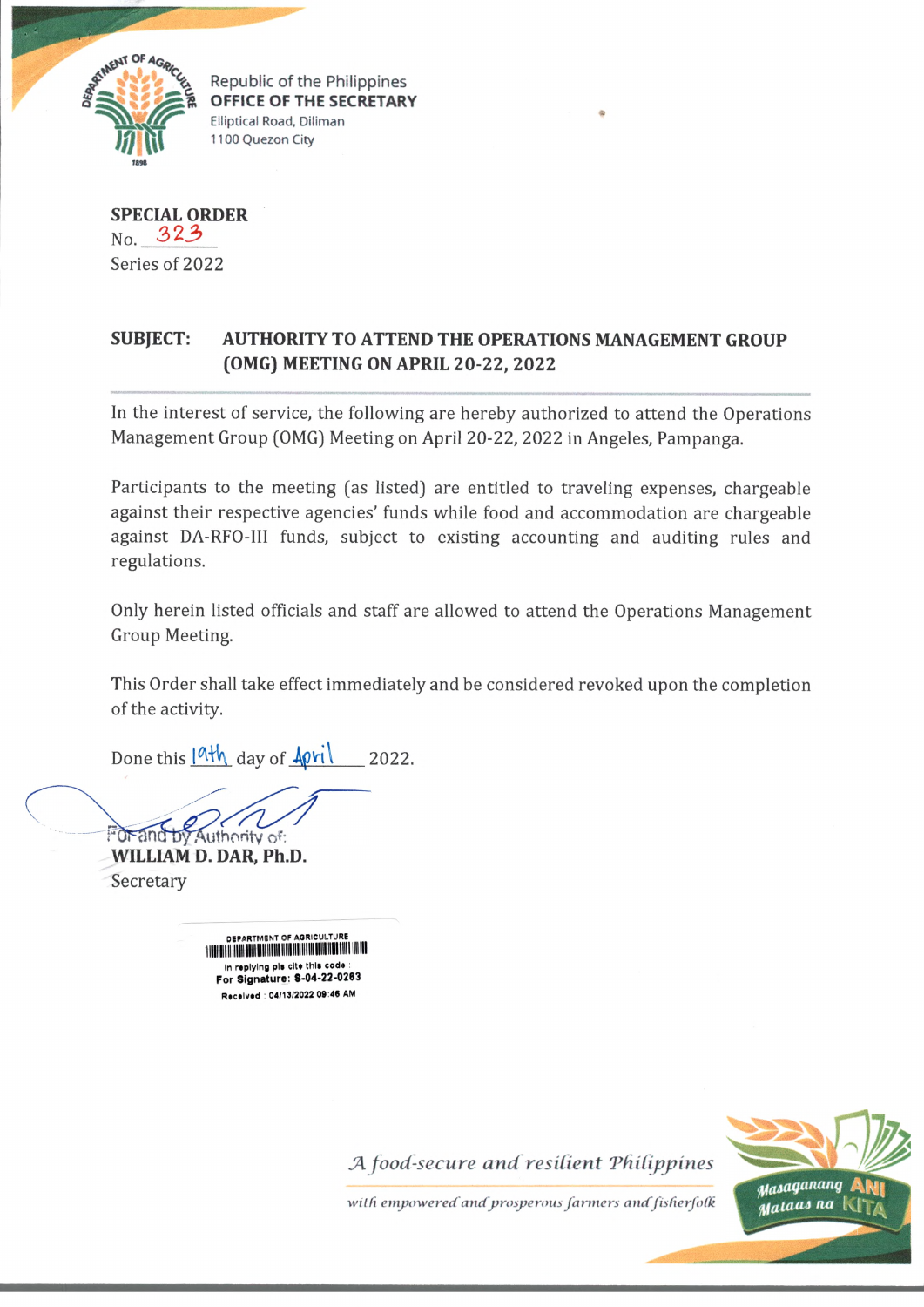

\_\_\_\_\_\_\_\_\_ \_\_\_\_\_\_\_ **OFFICE OF THE SECRETARY Elliptical Road, Diliman 1100 Quezon City**

**SPECIAL ORDER No,** *3 2*3 Series of 2022

## **SUBJECT: AUTHORITY TO ATTEND THE OPERATIONS MANAGEMENT GROUP (OMG) MEETING ON APRIL 20-22, 2022**

In the interest of service, the following are hereby authorized to attend the Operations Management Group (OMG) Meeting on April 20-22, 2022 in Angeles, Pampanga.

Participants to the meeting (as listed) are entitled to traveling expenses, chargeable against their respective agencies' funds while food and accommodation are chargeable against DA-RFO-III funds, subject to existing accounting and auditing rules and regulations.

Only herein listed officials and staff are allowed to attend the Operations Management Group Meeting.

This Order shall take effect immediately and be considered revoked upon the completion of the activity.

Done this  $\frac{|\mathbf{a}|\mathbf{b}|}{|\mathbf{a}|\mathbf{b}|}$  day of  $\frac{|\mathbf{a}|\mathbf{b}|}{|\mathbf{a}|\mathbf{b}|}$  2022.

Authority of:

**WILLIAM D. DAR, Ph.D. Secretary** 

> **DEPARTMENT OF AGR FINDING TO THE REAL DISCUSSION OF A DISCUSSION OF A DISCUSSION OF A DISCUSSION** in replying pis cite this code **For S ignature: 8-04-22-0283** Received : 04/13/2022 09:46 AM

> > *JA food-secure a n d resilient 'Philippines*



with empowered and prosperous farmers and fisherfolk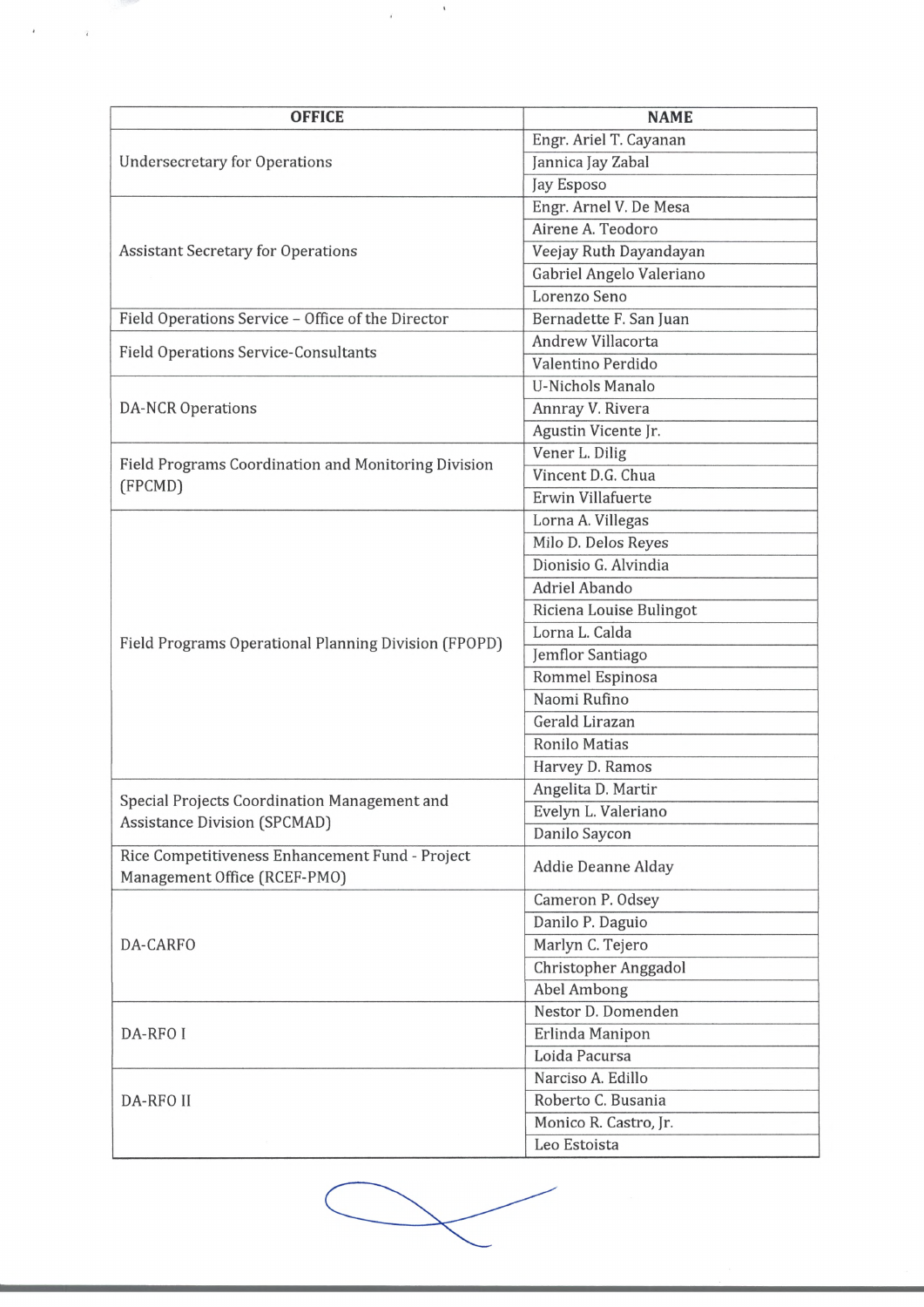| <b>OFFICE</b>                                                                       | <b>NAME</b>                               |
|-------------------------------------------------------------------------------------|-------------------------------------------|
|                                                                                     | Engr. Ariel T. Cayanan                    |
| <b>Undersecretary for Operations</b>                                                | Jannica Jay Zabal                         |
|                                                                                     | Jay Esposo                                |
|                                                                                     | Engr. Arnel V. De Mesa                    |
| <b>Assistant Secretary for Operations</b>                                           | Airene A. Teodoro                         |
|                                                                                     | Veejay Ruth Dayandayan                    |
|                                                                                     | Gabriel Angelo Valeriano                  |
|                                                                                     | Lorenzo Seno                              |
| Field Operations Service - Office of the Director                                   | Bernadette F. San Juan                    |
| <b>Field Operations Service-Consultants</b>                                         | Andrew Villacorta                         |
|                                                                                     | Valentino Perdido                         |
|                                                                                     | <b>U-Nichols Manalo</b>                   |
| <b>DA-NCR Operations</b>                                                            | Annray V. Rivera                          |
|                                                                                     | Agustin Vicente Jr.                       |
|                                                                                     | Vener L. Dilig                            |
| Field Programs Coordination and Monitoring Division                                 | Vincent D.G. Chua                         |
| (FPCMD)                                                                             | Erwin Villafuerte                         |
|                                                                                     | Lorna A. Villegas                         |
|                                                                                     | Milo D. Delos Reyes                       |
|                                                                                     | Dionisio G. Alvindia                      |
|                                                                                     | Adriel Abando                             |
|                                                                                     |                                           |
|                                                                                     | Riciena Louise Bulingot<br>Lorna L. Calda |
| Field Programs Operational Planning Division (FPOPD)                                |                                           |
|                                                                                     | Jemflor Santiago                          |
|                                                                                     | Rommel Espinosa                           |
|                                                                                     | Naomi Rufino                              |
|                                                                                     | Gerald Lirazan                            |
|                                                                                     | Ronilo Matias                             |
|                                                                                     | Harvey D. Ramos                           |
| Special Projects Coordination Management and<br><b>Assistance Division (SPCMAD)</b> | Angelita D. Martir                        |
|                                                                                     | Evelyn L. Valeriano                       |
|                                                                                     | Danilo Saycon                             |
| Rice Competitiveness Enhancement Fund - Project<br>Management Office (RCEF-PMO)     | <b>Addie Deanne Alday</b>                 |
| DA-CARFO                                                                            | Cameron P. Odsey                          |
|                                                                                     | Danilo P. Daguio                          |
|                                                                                     | Marlyn C. Tejero                          |
|                                                                                     | Christopher Anggadol                      |
|                                                                                     | <b>Abel Ambong</b>                        |
| DA-RFO I                                                                            | Nestor D. Domenden                        |
|                                                                                     | Erlinda Manipon                           |
|                                                                                     | Loida Pacursa                             |
| DA-RFO II                                                                           | Narciso A. Edillo                         |
|                                                                                     | Roberto C. Busania                        |
|                                                                                     | Monico R. Castro, Jr.                     |
|                                                                                     | Leo Estoista                              |

 $\mathbf{z}_1 = \mathbf{z}_2 = \mathbf{z}_1$  . We have

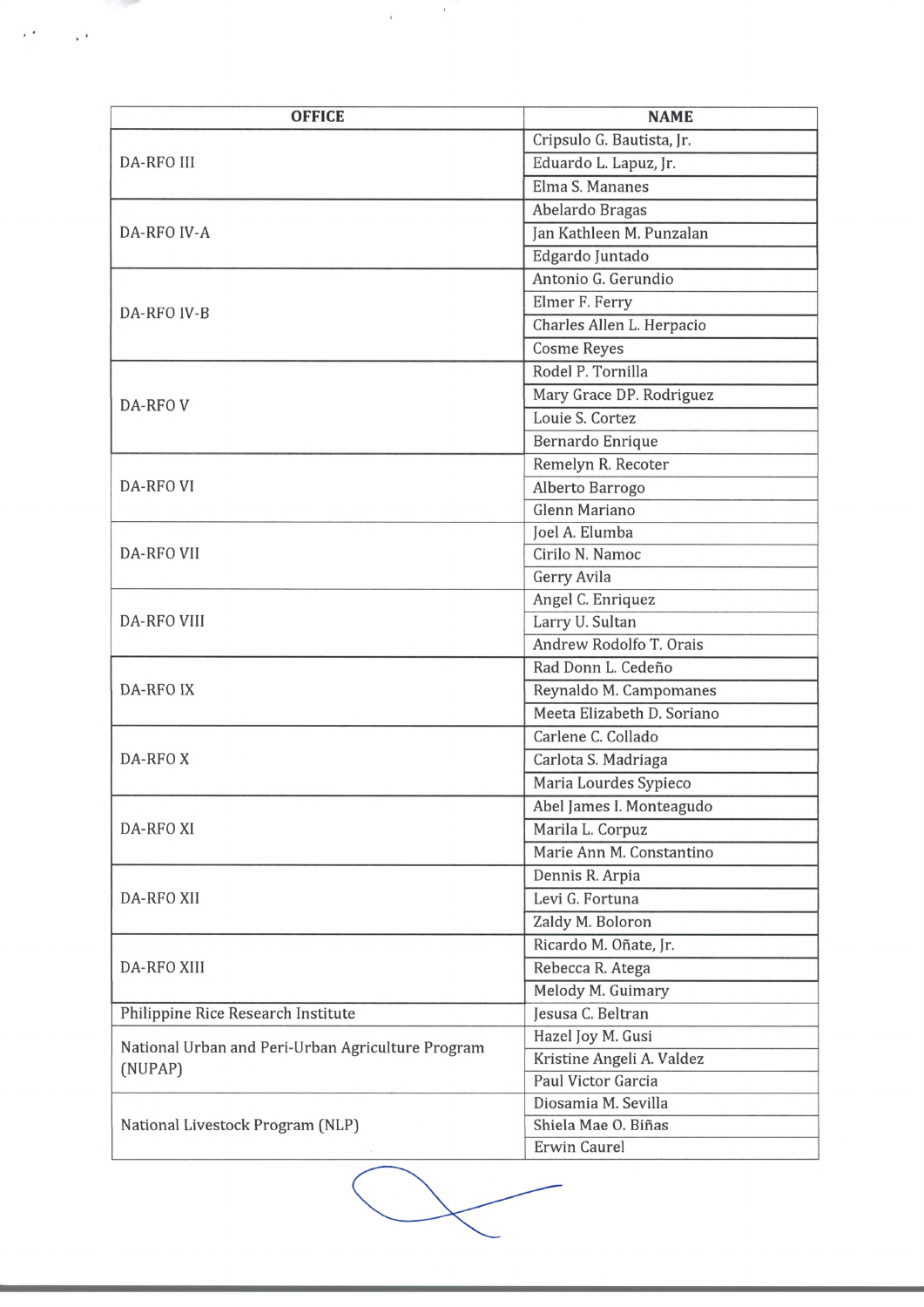| <b>OFFICE</b>                                                                                    | <b>NAME</b>                |
|--------------------------------------------------------------------------------------------------|----------------------------|
|                                                                                                  | Cripsulo G. Bautista, Jr.  |
| DA-RFO III                                                                                       | Eduardo L. Lapuz, Jr.      |
|                                                                                                  | Elma S. Mananes            |
| <b>DA-RFO IV-A</b>                                                                               | Abelardo Bragas            |
|                                                                                                  | Jan Kathleen M. Punzalan   |
|                                                                                                  | Edgardo Juntado            |
| DA-RFO IV-B                                                                                      | Antonio G. Gerundio        |
|                                                                                                  | Elmer F. Ferry             |
|                                                                                                  | Charles Allen L. Herpacio  |
|                                                                                                  | <b>Cosme Reyes</b>         |
|                                                                                                  | Rodel P. Tornilla          |
|                                                                                                  | Mary Grace DP. Rodriguez   |
| <b>DA-RFOV</b>                                                                                   | Louie S. Cortez            |
|                                                                                                  | Bernardo Enrique           |
|                                                                                                  | Remelyn R. Recoter         |
| DA-RFO VI                                                                                        | Alberto Barrogo            |
|                                                                                                  | Glenn Mariano              |
|                                                                                                  | Joel A. Elumba             |
| <b>DA-RFO VII</b>                                                                                | Cirilo N. Namoc            |
|                                                                                                  | Gerry Avila                |
|                                                                                                  | Angel C. Enriquez          |
| <b>DA-RFO VIII</b>                                                                               | Larry U. Sultan            |
|                                                                                                  | Andrew Rodolfo T. Orais    |
|                                                                                                  | Rad Donn L. Cedeño         |
| <b>DA-RFO IX</b>                                                                                 | Reynaldo M. Campomanes     |
|                                                                                                  | Meeta Elizabeth D. Soriano |
|                                                                                                  | Carlene C. Collado         |
| DA-RFOX                                                                                          | Carlota S. Madriaga        |
|                                                                                                  | Maria Lourdes Sypieco      |
| <b>DA-RFO XI</b>                                                                                 | Abel James I. Monteagudo   |
|                                                                                                  | Marila L. Corpuz           |
|                                                                                                  | Marie Ann M. Constantino   |
|                                                                                                  | Dennis R. Arpia            |
| <b>DA-RFO XII</b>                                                                                | Levi G. Fortuna            |
|                                                                                                  |                            |
|                                                                                                  | Zaldy M. Boloron           |
| <b>DA-RFO XIII</b>                                                                               | Ricardo M. Oñate, Jr.      |
|                                                                                                  | Rebecca R. Atega           |
|                                                                                                  | Melody M. Guimary          |
| Philippine Rice Research Institute                                                               | Jesusa C. Beltran          |
| National Urban and Peri-Urban Agriculture Program<br>(NUPAP)<br>National Livestock Program (NLP) | Hazel Joy M. Gusi          |
|                                                                                                  | Kristine Angeli A. Valdez  |
|                                                                                                  | Paul Victor Garcia         |
|                                                                                                  | Diosamia M. Sevilla        |
|                                                                                                  | Shiela Mae O. Biñas        |
|                                                                                                  | Erwin Caurel               |

 $\label{eq:2.1} \mathcal{L} = \left\{ \begin{array}{ll} \mathcal{L} & \mathcal{L} \\ \mathcal{L} & \mathcal{L} \end{array} \right.$ 

**Contract Contract Contract Contract Contract Contract Contract Contract Contract Contract Contract Contract Contract Contract Contract Contract Contract Contract Contract Contract Contract Contract Contract Contract Contr** 

 $\mathcal{O}(\mathcal{O}(\sqrt{N}))$